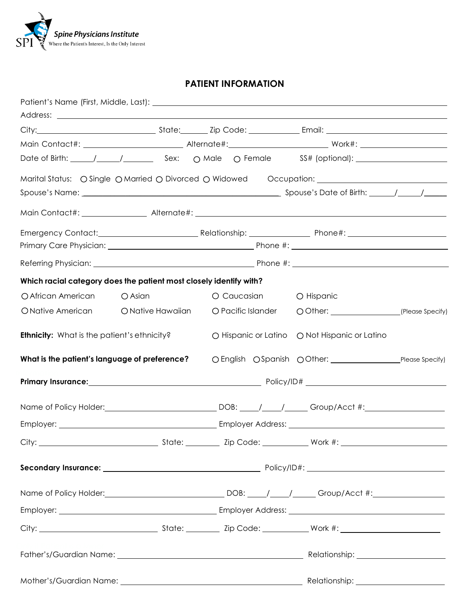

# **PATIENT INFORMATION**

| Which racial category does the patient most closely identify with?                                             |                   |                    |                                               |  |
|----------------------------------------------------------------------------------------------------------------|-------------------|--------------------|-----------------------------------------------|--|
| O African American                                                                                             | O Asian           | O Caucasian        | O Hispanic                                    |  |
| O Native American                                                                                              | O Native Hawaiian | O Pacific Islander | O Other: __________________(Please Specify)   |  |
| <b>Ethnicity:</b> What is the patient's ethnicity?                                                             |                   |                    | O Hispanic or Latino O Not Hispanic or Latino |  |
|                                                                                                                |                   |                    |                                               |  |
|                                                                                                                |                   |                    |                                               |  |
| Name of Policy Holder: __________________________________DOB: _____/ _____/ _____Group/Acct #: _______________ |                   |                    |                                               |  |
|                                                                                                                |                   |                    |                                               |  |
|                                                                                                                |                   |                    |                                               |  |
|                                                                                                                |                   |                    |                                               |  |
| Name of Policy Holder: __________________________________DOB: _____/ _____/ _____Group/Acct #: _______________ |                   |                    |                                               |  |
|                                                                                                                |                   |                    |                                               |  |
|                                                                                                                |                   |                    |                                               |  |
|                                                                                                                |                   |                    |                                               |  |
|                                                                                                                |                   |                    |                                               |  |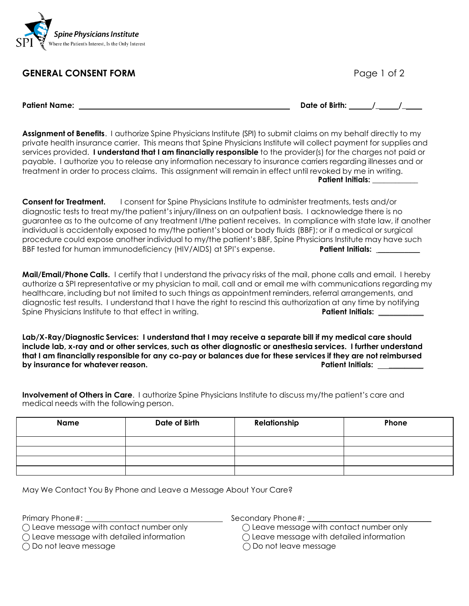

# **GENERAL CONSENT FORM Page 1 of 2**

**Patient Name: Date of Birth: /\_ /\_**

**Assignment of Benefits**. I authorize Spine Physicians Institute (SPI) to submit claims on my behalf directly to my private health insurance carrier. This means that Spine Physicians Institute will collect payment for supplies and services provided. **I understand that I am financially responsible** to the provider(s) for the charges not paid or payable. I authorize you to release any information necessary to insurance carriers regarding illnesses and or treatment in order to process claims. This assignment will remain in effect until revoked by me in writing.  **Patient Initials: \_\_\_\_\_\_\_\_\_\_\_\_**

**Consent for Treatment.** I consent for Spine Physicians Institute to administer treatments, tests and/or diagnostic tests to treat my/the patient's injury/illness on an outpatient basis. I acknowledge there is no guarantee as to the outcome of any treatment I/the patient receives. In compliance with state law, if another individual is accidentally exposed to my/the patient's blood or body fluids (BBF); or if a medical or surgical procedure could expose another individual to my/the patient's BBF, Spine Physicians Institute may have such BBF tested for human immunodeficiency (HIV/AIDS) at SPI's expense. **Patient Initials: \_\_\_\_\_\_\_\_\_\_\_**

**Mail/Email/Phone Calls.** I certify that I understand the privacy risks of the mail, phone calls and email. I hereby authorize a SPI representative or my physician to mail, call and or email me with communications regarding my healthcare, including but not limited to such things as appointment reminders, referral arrangements, and diagnostic test results. I understand that I have the right to rescind this authorization at any time by notifying Spine Physicians Institute to that effect in writing. **Patient Initials:** Patient Initials:

**Lab/X-Ray/Diagnostic Services: I understand that I may receive a separate bill if my medical care should include lab, x-ray and or other services, such as other diagnostic or anesthesia services. I further understand** that I am financially responsible for any co-pay or balances due for these services if they are not reimbursed **by insurance for whatever reason. Patient Initials: \_\_\_\_\_\_\_\_\_**

**Involvement of Others in Care**. I authorize Spine Physicians Institute to discuss my/the patient's care and medical needs with the following person.

| Name | Date of Birth | Relationship | Phone |
|------|---------------|--------------|-------|
|      |               |              |       |
|      |               |              |       |
|      |               |              |       |
|      |               |              |       |

May We Contact You By Phone and Leave a Message About Your Care?

 $\bigcap$  Leave message with contact number only  $\bigcap$  Leave message with contact number only

Primary Phone#: Secondary Phone#:

 $\bigcap$  Leave message with detailed information  $\bigcap$  Leave message with detailed information

 $\bigcirc$  Do not leave message  $\bigcirc$  Do not leave message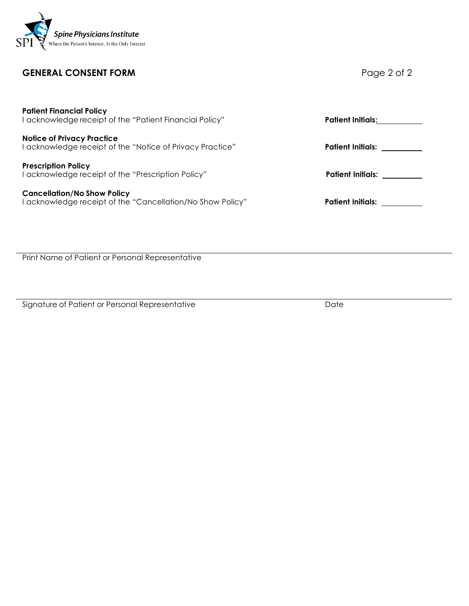

# **GENERAL CONSENT FORM Page 2 of 2**

| <b>Patient Financial Policy</b><br>  acknowledge receipt of the "Patient Financial Policy"       | <b>Patient Initials:</b> |
|--------------------------------------------------------------------------------------------------|--------------------------|
| <b>Notice of Privacy Practice</b><br>I acknowledge receipt of the "Notice of Privacy Practice"   | <b>Patient Initials:</b> |
| <b>Prescription Policy</b><br>I acknowledge receipt of the "Prescription Policy"                 | Patient Initials:        |
| <b>Cancellation/No Show Policy</b><br>I acknowledge receipt of the "Cancellation/No Show Policy" | <b>Patient Initials:</b> |
|                                                                                                  |                          |
|                                                                                                  |                          |

Print Name of Patient or Personal Representative

Signature of Patient or Personal Representative Date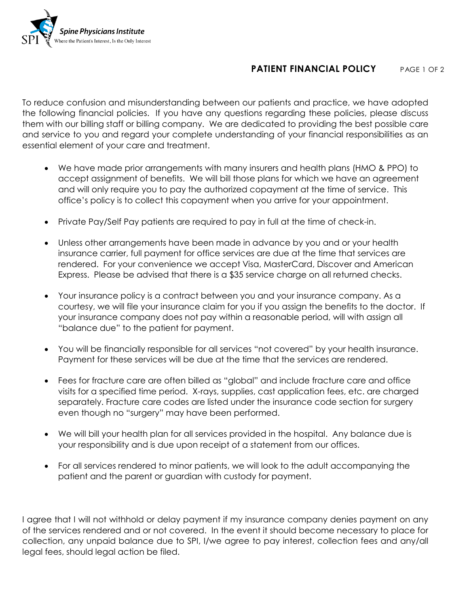

# **PATIENT FINANCIAL POLICY** PAGE 1 OF 2

To reduce confusion and misunderstanding between our patients and practice, we have adopted the following financial policies. If you have any questions regarding these policies, please discuss them with our billing staff or billing company. We are dedicated to providing the best possible care and service to you and regard your complete understanding of your financial responsibilities as an essential element of your care and treatment.

- We have made prior arrangements with many insurers and health plans (HMO & PPO) to accept assignment of benefits. We will bill those plans for which we have an agreement and will only require you to pay the authorized copayment at the time of service. This office's policy is to collect this copayment when you arrive for your appointment.
- Private Pay/Self Pay patients are required to pay in full at the time of check-in.
- Unless other arrangements have been made in advance by you and or your health insurance carrier, full payment for office services are due at the time that services are rendered. For your convenience we accept Visa, MasterCard, Discover and American Express. Please be advised that there is a \$35 service charge on all returned checks.
- Your insurance policy is a contract between you and your insurance company. As a courtesy, we will file your insurance claim for you if you assign the benefits to the doctor. If your insurance company does not pay within a reasonable period, will with assign all "balance due" to the patient for payment.
- You will be financially responsible for all services "not covered" by your health insurance. Payment for these services will be due at the time that the services are rendered.
- Fees for fracture care are often billed as "global" and include fracture care and office visits for a specified time period. X-rays, supplies, cast application fees, etc. are charged separately. Fracture care codes are listed under the insurance code section for surgery even though no "surgery" may have been performed.
- We will bill your health plan for all services provided in the hospital. Any balance due is your responsibility and is due upon receipt of a statement from our offices.
- For all services rendered to minor patients, we will look to the adult accompanying the patient and the parent or guardian with custody for payment.

I agree that I will not withhold or delay payment if my insurance company denies payment on any of the services rendered and or not covered. In the event it should become necessary to place for collection, any unpaid balance due to SPI, I/we agree to pay interest, collection fees and any/all legal fees, should legal action be filed.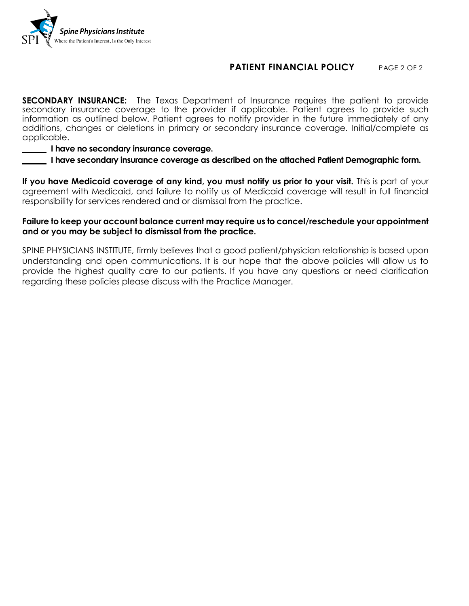

# **PATIENT FINANCIAL POLICY** PAGE 2 OF 2

**SECONDARY INSURANCE:** The Texas Department of Insurance requires the patient to provide secondary insurance coverage to the provider if applicable. Patient agrees to provide such information as outlined below. Patient agrees to notify provider in the future immediately of any additions, changes or deletions in primary or secondary insurance coverage. Initial/complete as applicable.

### **I have no secondary insurance coverage.**

 **I have secondary insurance coverage as described on the attached Patient Demographic form.**

**If you have Medicaid coverage of any kind, you must notify us prior to your visit.** This is part of your agreement with Medicaid, and failure to notify us of Medicaid coverage will result in full financial responsibility for services rendered and or dismissal from the practice.

### **Failure to keep your account balance current may require us to cancel/reschedule your appointment and or you may be subject to dismissal from the practice.**

SPINE PHYSICIANS INSTITUTE, firmly believes that a good patient/physician relationship is based upon understanding and open communications. It is our hope that the above policies will allow us to provide the highest quality care to our patients. If you have any questions or need clarification regarding these policies please discuss with the Practice Manager.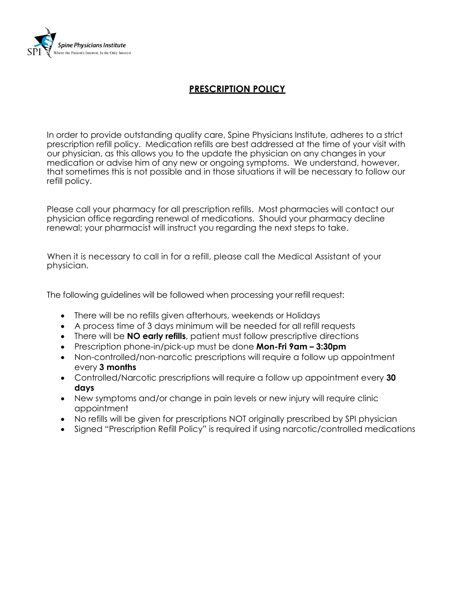

# **PRESCRIPTION POLICY**

In order to provide outstanding quality care, Spine Physicians Institute, adheres to a strict prescription refill policy. Medication refills are best addressed at the time of your visit with our physician, as this allows you to the update the physician on any changes in your medication or advise him of any new or ongoing symptoms. We understand, however, that sometimes this is not possible and in those situations it will be necessary to follow our refill policy.

Please call your pharmacy for all prescription refills. Most pharmacies will contact our physician office regarding renewal of medications. Should your pharmacy decline renewal; your pharmacist will instruct you regarding the next steps to take.

 When it is necessary to call in for a refill, please call the Medical Assistant of your physician.

The following guidelines will be followed when processing your refill request:

- There will be no refills given afterhours, weekends or Holidays
- A process time of 3 days minimum will be needed for all refill requests
- There will be **NO early refills**, patient must follow prescriptive directions
- Prescription phone-in/pick-up must be done **Mon-Fri 9am – 3:30pm**
- Non-controlled/non-narcotic prescriptions will require a follow up appointment every **3 months**
- Controlled/Narcotic prescriptions will require a follow up appointment every **30 days**
- New symptoms and/or change in pain levels or new injury will require clinic appointment
- No refills will be given for prescriptions NOT originally prescribed by SPI physician
- Signed "Prescription Refill Policy" is required if using narcotic/controlled medications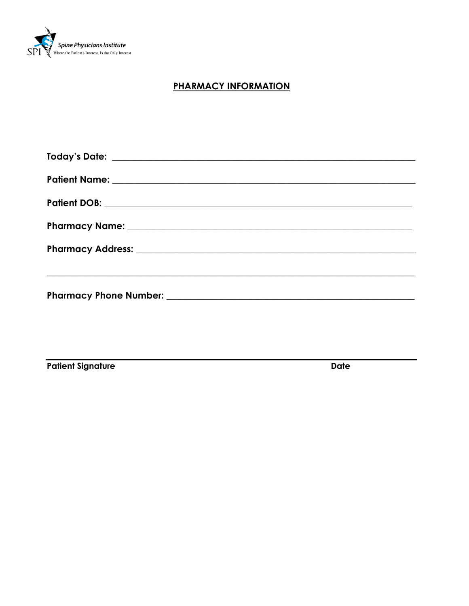

# **PHARMACY INFORMATION**

**Patient Signature** 

**Date**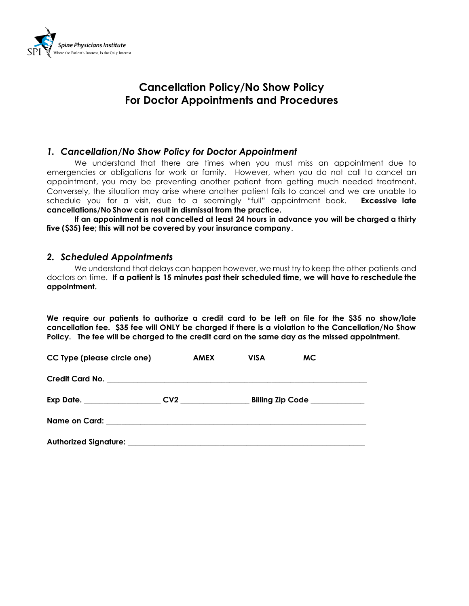

# **Cancellation Policy/No Show Policy For Doctor Appointments and Procedures**

## *1. Cancellation/No Show Policy for Doctor Appointment*

We understand that there are times when you must miss an appointment due to emergencies or obligations for work or family. However, when you do not call to cancel an appointment, you may be preventing another patient from getting much needed treatment. Conversely, the situation may arise where another patient fails to cancel and we are unable to schedule you for a visit, due to a seemingly "full" appointment book. **Excessive late cancellations/No Show can result in dismissal from the practice.**

**If an appointment is not cancelled at least 24 hours in advance you will be charged a thirty five (\$35) fee; this will not be covered by your insurance company**.

## *2. Scheduled Appointments*

We understand that delays can happen however, we must try to keep the other patients and doctors on time. **If a patient is 15 minutes past their scheduled time, we will have to reschedule the appointment.**

**We require our patients to authorize a credit card to be left on file for the \$35 no show/late cancellation fee. \$35 fee will ONLY be charged if there is a violation to the Cancellation/No Show Policy. The fee will be charged to the credit card on the same day as the missed appointment.** 

| CC Type (please circle one)  | AMEX | VISA | <b>MC</b>        |  |
|------------------------------|------|------|------------------|--|
|                              |      |      |                  |  |
|                              |      |      | Billing Zip Code |  |
|                              |      |      |                  |  |
| <b>Authorized Signature:</b> |      |      |                  |  |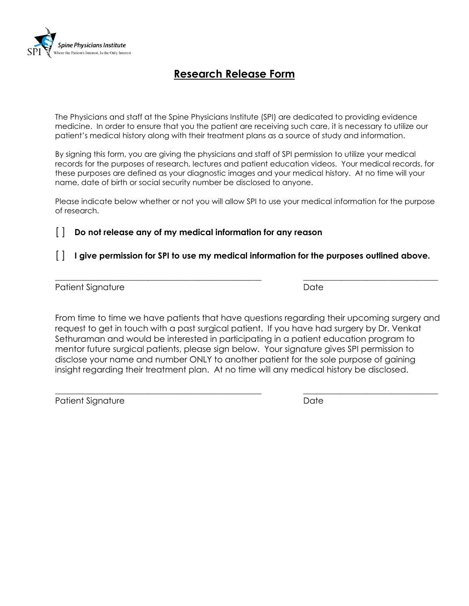

# **Research Release Form**

The Physicians and staff at the Spine Physicians Institute (SPI) are dedicated to providing evidence medicine. In order to ensure that you the patient are receiving such care, it is necessary to utilize our patient's medical history along with their treatment plans as a source of study and information.

By signing this form, you are giving the physicians and staff of SPI permission to utilize your medical records for the purposes of research, lectures and patient education videos. Your medical records, for these purposes are defined as your diagnostic images and your medical history. At no time will your name, date of birth or social security number be disclosed to anyone.

Please indicate below whether or not you will allow SPI to use your medical information for the purpose of research.

[ ] **Do not release any of my medical information for any reason**

# [ ] **I give permission for SPI to use my medical information for the purposes outlined above.**

**\_\_\_\_\_\_\_\_\_\_\_\_\_\_\_\_\_\_\_\_\_\_\_\_\_\_\_\_\_\_\_\_\_\_\_\_\_\_\_\_\_\_\_\_\_\_\_\_\_ \_\_\_\_\_\_\_\_\_\_\_\_\_\_\_\_\_\_\_\_\_\_\_\_\_\_\_\_\_\_\_\_**

Patient Signature Date Date

From time to time we have patients that have questions regarding their upcoming surgery and request to get in touch with a past surgical patient. If you have had surgery by Dr. Venkat Sethuraman and would be interested in participating in a patient education program to mentor future surgical patients, please sign below. Your signature gives SPI permission to disclose your name and number ONLY to another patient for the sole purpose of gaining insight regarding their treatment plan. At no time will any medical history be disclosed.

Patient Signature Date

\_\_\_\_\_\_\_\_\_\_\_\_\_\_\_\_\_\_\_\_\_\_\_\_\_\_\_\_\_\_\_\_\_\_\_\_\_\_\_\_\_\_\_\_\_\_\_\_\_ \_\_\_\_\_\_\_\_\_\_\_\_\_\_\_\_\_\_\_\_\_\_\_\_\_\_\_\_\_\_\_\_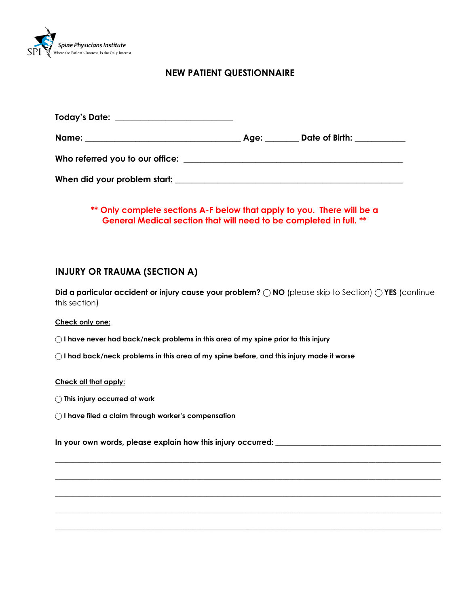

## **NEW PATIENT QUESTIONNAIRE**

| Today's Date: _________________________ |                     |  |
|-----------------------------------------|---------------------|--|
| Name: ___________________________       | Age: Date of Birth: |  |
|                                         |                     |  |
| When did your problem start: _          |                     |  |

## **\*\* Only complete sections A-F below that apply to you. There will be a General Medical section that will need to be completed in full. \*\***

## **INJURY OR TRAUMA (SECTION A)**

**Did a particular accident or injury cause your problem? ◯ NO (please skip to Section) ◯ YES (continue** this section)

**\_\_\_\_\_\_\_\_\_\_\_\_\_\_\_\_\_\_\_\_\_\_\_\_\_\_\_\_\_\_\_\_\_\_\_\_\_\_\_\_\_\_\_\_\_\_\_\_\_\_\_\_\_\_\_\_\_\_\_\_\_\_\_\_\_\_\_\_\_\_\_\_\_\_\_\_\_\_\_\_\_\_\_\_\_\_\_\_\_\_\_\_\_\_\_\_\_\_\_\_\_\_\_\_\_\_\_\_\_\_\_\_**

**\_\_\_\_\_\_\_\_\_\_\_\_\_\_\_\_\_\_\_\_\_\_\_\_\_\_\_\_\_\_\_\_\_\_\_\_\_\_\_\_\_\_\_\_\_\_\_\_\_\_\_\_\_\_\_\_\_\_\_\_\_\_\_\_\_\_\_\_\_\_\_\_\_\_\_\_\_\_\_\_\_\_\_\_\_\_\_\_\_\_\_\_\_\_\_\_\_\_\_\_\_\_\_\_\_\_\_\_\_\_\_\_**

**\_\_\_\_\_\_\_\_\_\_\_\_\_\_\_\_\_\_\_\_\_\_\_\_\_\_\_\_\_\_\_\_\_\_\_\_\_\_\_\_\_\_\_\_\_\_\_\_\_\_\_\_\_\_\_\_\_\_\_\_\_\_\_\_\_\_\_\_\_\_\_\_\_\_\_\_\_\_\_\_\_\_\_\_\_\_\_\_\_\_\_\_\_\_\_\_\_\_\_\_\_\_\_\_\_\_\_\_\_\_\_\_**

**\_\_\_\_\_\_\_\_\_\_\_\_\_\_\_\_\_\_\_\_\_\_\_\_\_\_\_\_\_\_\_\_\_\_\_\_\_\_\_\_\_\_\_\_\_\_\_\_\_\_\_\_\_\_\_\_\_\_\_\_\_\_\_\_\_\_\_\_\_\_\_\_\_\_\_\_\_\_\_\_\_\_\_\_\_\_\_\_\_\_\_\_\_\_\_\_\_\_\_\_\_\_\_\_\_\_\_\_\_\_\_\_**

**\_\_\_\_\_\_\_\_\_\_\_\_\_\_\_\_\_\_\_\_\_\_\_\_\_\_\_\_\_\_\_\_\_\_\_\_\_\_\_\_\_\_\_\_\_\_\_\_\_\_\_\_\_\_\_\_\_\_\_\_\_\_\_\_\_\_\_\_\_\_\_\_\_\_\_\_\_\_\_\_\_\_\_\_\_\_\_\_\_\_\_\_\_\_\_\_\_\_\_\_\_\_\_\_\_\_\_\_\_\_\_\_**

#### **Check only one:**

- **⃝ I have never had back/neck problems in this area of my spine prior to this injury**
- ⃝ **I had back/neck problems in this area of my spine before, and this injury made it worse**

#### **Check all that apply:**

- **⃝ This injury occurred at work**
- ⃝ **I have filed a claim through worker's compensation**

**In your own words, please explain how this injury occurred: \_\_\_\_\_\_\_\_\_\_\_\_\_\_\_\_\_\_\_\_\_\_\_\_\_\_\_\_\_\_\_\_\_\_\_\_\_\_\_\_\_\_\_\_\_\_\_\_**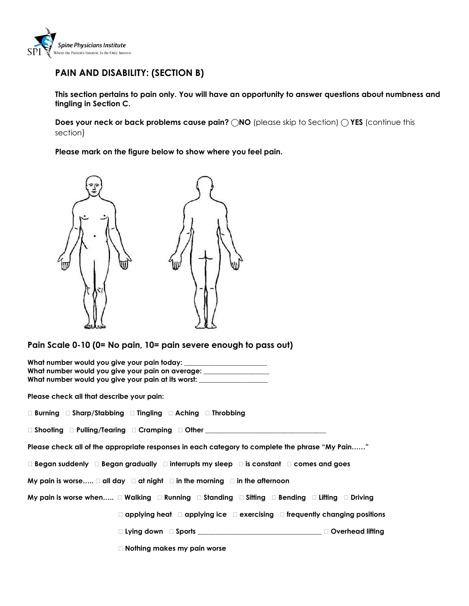

# **PAIN AND DISABILITY: (SECTION B)**

**This section pertains to pain only. You will have an opportunity to answer questions about numbness and tingling in Section C.** 

**Does your neck or back problems cause pain? 
(DICA) (please skip to Section) 
(Continue this continue this** section)

**Please mark on the figure below to show where you feel pain.** 



**Pain Scale 0-10 (0= No pain, 10= pain severe enough to pass out)**

| What number would you give your pain on average: __________________                                                              |
|----------------------------------------------------------------------------------------------------------------------------------|
| What number would you give your pain at its worst: _____________________________                                                 |
| Please check all that describe your pain:                                                                                        |
| □ Burning □ Sharp/Stabbing □ Tingling □ Aching □ Throbbing                                                                       |
| $\square$ Shooting $\square$ Pulling/Tearing $\square$ Cramping $\square$ Other $\_\_\_\_\_\_\_\_\_\_\_\_\_\_\_\_\_\_\_\_\_\_\_$ |
| Please check all of the appropriate responses in each category to complete the phrase "My Pain"                                  |
| $\Box$ Began suddenly $\Box$ Began gradually $\Box$ interrupts my sleep $\Box$ is constant $\Box$ comes and goes                 |
| My pain is worse $\Box$ all day $\Box$ at night $\Box$ in the morning $\Box$ in the afternoon                                    |
| My pain is worse when $\Box$ Walking $\Box$ Running $\Box$ Standing $\Box$ Sitting $\Box$ Bending $\Box$ Lifting $\Box$ Driving  |
| $\Box$ applying heat $\Box$ applying ice $\Box$ exercising $\Box$ frequently changing positions                                  |
| □ Lying down □ Sports ________________________________ □ Overhead lifting                                                        |
| $\Box$ Nothing makes my pain worse                                                                                               |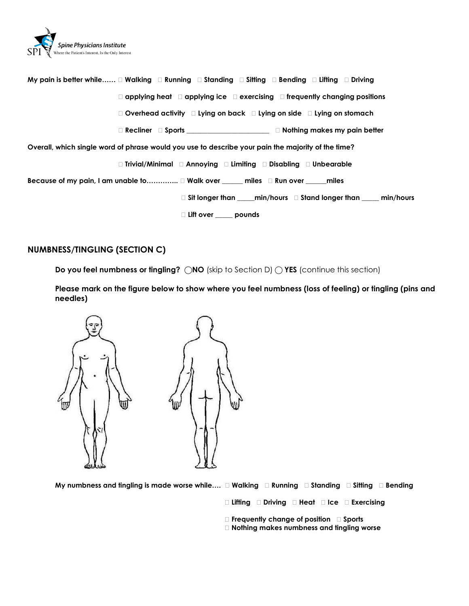

**My pain is better while…… Walking Running Standing Sitting Bending Lifting Driving applying heat applying ice exercising frequently changing positions Overhead activity Lying on back Lying on side Lying on stomach Recliner Sports \_\_\_\_\_\_\_\_\_\_\_\_\_\_\_\_\_\_\_\_\_\_\_\_ Nothing makes my pain better Overall, which single word of phrase would you use to describe your pain the majority of the time? Trivial/Minimal Annoying Limiting Disabling Unbearable Because of my pain, I am unable to………….. Walk over \_\_\_\_\_\_ miles Run over \_\_\_\_\_\_miles Sit longer than \_\_\_\_\_min/hours Stand longer than \_\_\_\_\_ min/hours Lift over \_\_\_\_\_ pounds**

### **NUMBNESS/TINGLING (SECTION C)**

**Do you feel numbness or tingling? ◯NO** (skip to Section D) ◯ YES (continue this section)

**Please mark on the figure below to show where you feel numbness (loss of feeling) or tingling (pins and needles)**



**My numbness and tingling is made worse while…. Walking Running Standing Sitting Bending**

- **Lifting Driving Heat Ice Exercising**
- **Frequently change of position Sports**
- **Nothing makes numbness and tingling worse**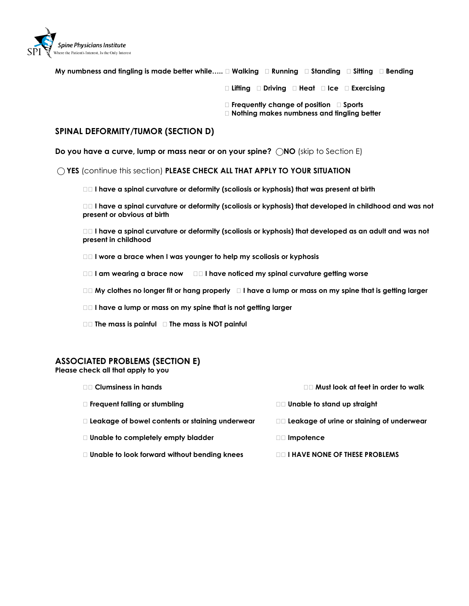

| My numbness and tingling is made better while… $\Box$ Walking $\;\;\Box$ Running $\;\;\Box$ Standing $\;\;\Box$ Sitting $\;\;\Box$ Bending |  |
|--------------------------------------------------------------------------------------------------------------------------------------------|--|
|--------------------------------------------------------------------------------------------------------------------------------------------|--|

**Lifting Driving Heat Ice Exercising** 

- **Frequently change of position Sports**
- **Nothing makes numbness and tingling better**

### **SPINAL DEFORMITY/TUMOR (SECTION D)**

**Do you have a curve, lump or mass near or on your spine? ⃝NO** (skip to Section E)

⃝ **YES** (continue this section) **PLEASE CHECK ALL THAT APPLY TO YOUR SITUATION**

**II have a spinal curvature or deformity (scoliosis or kyphosis) that was present at birth** 

 **I have a spinal curvature or deformity (scoliosis or kyphosis) that developed in childhood and was not present or obvious at birth**

 **I have a spinal curvature or deformity (scoliosis or kyphosis) that developed as an adult and was not present in childhood** 

- **I wore a brace when I was younger to help my scoliosis or kyphosis**
- **I am wearing a brace now I have noticed my spinal curvature getting worse**
- **My clothes no longer fit or hang properly I have a lump or mass on my spine that is getting larger**
- **I have a lump or mass on my spine that is not getting larger**
- **The mass is painful The mass is NOT painful**

### **ASSOCIATED PROBLEMS (SECTION E)**

**Please check all that apply to you**

| □□ Clumsiness in hands                                 | $\square \square$ Must look at feet in order to walk |
|--------------------------------------------------------|------------------------------------------------------|
| $\Box$ Frequent falling or stumbling                   | $\Box$ Unable to stand up straight                   |
| $\Box$ Leakage of bowel contents or staining underwear | $\Box$ Leakage of urine or staining of underwear     |
| $\Box$ Unable to completely empty bladder              | $\Box$ Impotence                                     |
| $\Box$ Unable to look forward without bending knees    | <b>DO I HAVE NONE OF THESE PROBLEMS</b>              |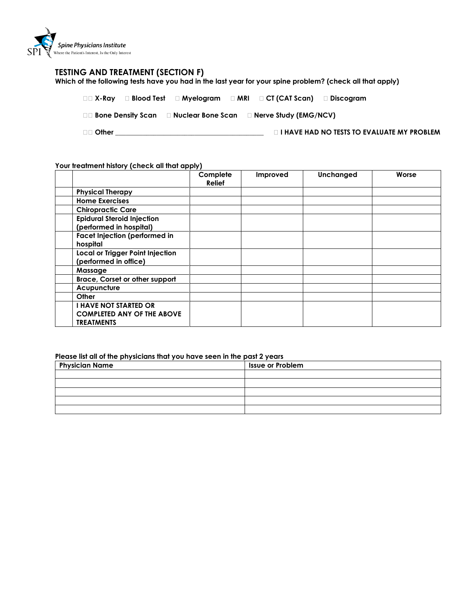

#### **TESTING AND TREATMENT (SECTION F)**

**Which of the following tests have you had in the last year for your spine problem? (check all that apply)**

|          |  | □□ X-Ray □ Blood Test □ Myelogram □ MRI □ CT (CAT Scan) □ Discogram            |                                                   |
|----------|--|--------------------------------------------------------------------------------|---------------------------------------------------|
|          |  | $\Box$ Bone Density Scan $\Box$ Nuclear Bone Scan $\Box$ Nerve Study (EMG/NCV) |                                                   |
| □□ Other |  |                                                                                | <b>I HAVE HAD NO TESTS TO EVALUATE MY PROBLEM</b> |

#### **Your treatment history (check all that apply)**

|                                                                                        | Complete<br>Relief | Improved | Unchanged | Worse |
|----------------------------------------------------------------------------------------|--------------------|----------|-----------|-------|
| <b>Physical Therapy</b>                                                                |                    |          |           |       |
| <b>Home Exercises</b>                                                                  |                    |          |           |       |
| <b>Chiropractic Care</b>                                                               |                    |          |           |       |
| <b>Epidural Steroid Injection</b><br>(performed in hospital)                           |                    |          |           |       |
| <b>Facet Injection (performed in</b><br>hospital                                       |                    |          |           |       |
| Local or Trigger Point Injection<br>(performed in office)                              |                    |          |           |       |
| Massage                                                                                |                    |          |           |       |
| Brace, Corset or other support                                                         |                    |          |           |       |
| Acupuncture                                                                            |                    |          |           |       |
| Other                                                                                  |                    |          |           |       |
| <b>I HAVE NOT STARTED OR</b><br><b>COMPLETED ANY OF THE ABOVE</b><br><b>TREATMENTS</b> |                    |          |           |       |

#### **Please list all of the physicians that you have seen in the past 2 years**

| <b>Physician Name</b> | <b>Issue or Problem</b> |
|-----------------------|-------------------------|
|                       |                         |
|                       |                         |
|                       |                         |
|                       |                         |
|                       |                         |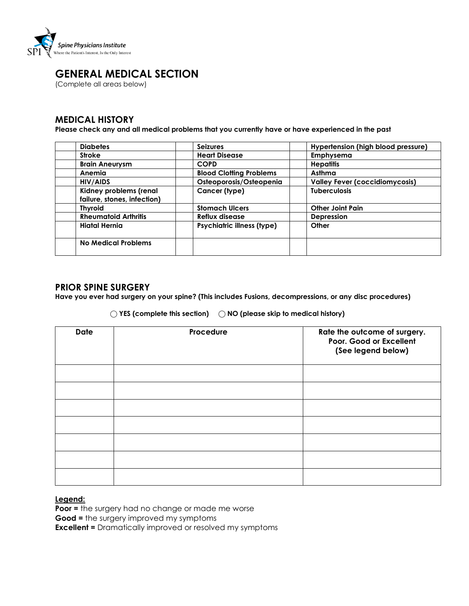

# **GENERAL MEDICAL SECTION**

(Complete all areas below)

## **MEDICAL HISTORY**

**Please check any and all medical problems that you currently have or have experienced in the past**

| <b>Diabetes</b>                                       | <b>Seizures</b>                   | Hypertension (high blood pressure)    |
|-------------------------------------------------------|-----------------------------------|---------------------------------------|
| <b>Stroke</b>                                         | <b>Heart Disease</b>              | <b>Emphysema</b>                      |
| <b>Brain Aneurysm</b>                                 | <b>COPD</b>                       | <b>Hepatitis</b>                      |
| Anemia                                                | <b>Blood Clotting Problems</b>    | Asthma                                |
| HIV/AIDS                                              | Osteoporosis/Osteopenia           | <b>Valley Fever (coccidiomycosis)</b> |
| Kidney problems (renal<br>failure, stones, infection) | Cancer (type)                     | <b>Tuberculosis</b>                   |
| <b>Thyroid</b>                                        | <b>Stomach Ulcers</b>             | <b>Other Joint Pain</b>               |
| <b>Rheumatoid Arthritis</b>                           | Reflux disease                    | <b>Depression</b>                     |
| Hiatal Hernia                                         | <b>Psychiatric illness (type)</b> | Other                                 |
| No Medical Problems                                   |                                   |                                       |

## **PRIOR SPINE SURGERY**

**Have you ever had surgery on your spine? (This includes Fusions, decompressions, or any disc procedures)**

#### **⃝ YES (complete this section) ⃝ NO (please skip to medical history)**

| <b>Date</b> | Procedure | Rate the outcome of surgery.<br>Poor. Good or Excellent<br>(See legend below) |
|-------------|-----------|-------------------------------------------------------------------------------|
|             |           |                                                                               |
|             |           |                                                                               |
|             |           |                                                                               |
|             |           |                                                                               |
|             |           |                                                                               |
|             |           |                                                                               |
|             |           |                                                                               |

#### **Legend:**

**Poor =** the surgery had no change or made me worse

**Good =** the surgery improved my symptoms

**Excellent =** Dramatically improved or resolved my symptoms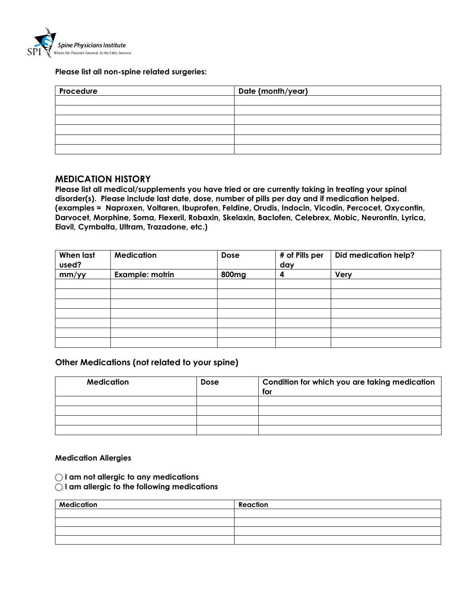

#### **Please list all non-spine related surgeries:**

| Procedure | Date (month/year) |
|-----------|-------------------|
|           |                   |
|           |                   |
|           |                   |
|           |                   |
|           |                   |
|           |                   |

### **MEDICATION HISTORY**

**Please list all medical/supplements you have tried or are currently taking in treating your spinal disorder(s). Please include last date, dose, number of pills per day and if medication helped. (examples = Naproxen, Voltaren, Ibuprofen, Feldine, Orudis, Indocin, Vicodin, Percocet, Oxycontin, Darvocet, Morphine, Soma, Flexeril, Robaxin, Skelaxin, Baclofen, Celebrex, Mobic, Neurontin, Lyrica, Elavil, Cymbalta, Ultram, Trazadone, etc.)**

| <b>When last</b><br>used? | <b>Medication</b> | Dose              | # of Pills per<br>day | <b>Did medication help?</b> |
|---------------------------|-------------------|-------------------|-----------------------|-----------------------------|
| mm/yy                     | Example: motrin   | 800 <sub>mg</sub> | 4                     | Very                        |
|                           |                   |                   |                       |                             |
|                           |                   |                   |                       |                             |
|                           |                   |                   |                       |                             |
|                           |                   |                   |                       |                             |
|                           |                   |                   |                       |                             |
|                           |                   |                   |                       |                             |
|                           |                   |                   |                       |                             |

## **Other Medications (not related to your spine)**

| <b>Medication</b> | <b>Dose</b> | Condition for which you are taking medication<br>for |
|-------------------|-------------|------------------------------------------------------|
|                   |             |                                                      |
|                   |             |                                                      |
|                   |             |                                                      |
|                   |             |                                                      |

#### **Medication Allergies**

- **⃝ I am not allergic to any medications**
- **⃝ I am allergic to the following medications**

| <b>Medication</b> | Reaction |
|-------------------|----------|
|                   |          |
|                   |          |
|                   |          |
|                   |          |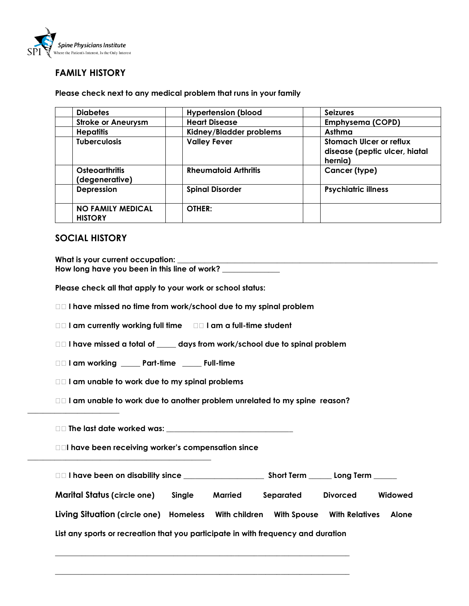

# **FAMILY HISTORY**

**Please check next to any medical problem that runs in your family** 

| <b>Diabetes</b>                            | <b>Hypertension (blood</b>  | <b>Seizures</b>                                                            |
|--------------------------------------------|-----------------------------|----------------------------------------------------------------------------|
| <b>Stroke or Aneurysm</b>                  | <b>Heart Disease</b>        | <b>Emphysema (COPD)</b>                                                    |
| <b>Hepatitis</b>                           | Kidney/Bladder problems     | Asthma                                                                     |
| <b>Tuberculosis</b>                        | <b>Valley Fever</b>         | <b>Stomach Ulcer or reflux</b><br>disease (peptic ulcer, hiatal<br>hernia) |
| <b>Osteoarthritis</b><br>(degenerative)    | <b>Rheumatoid Arthritis</b> | Cancer (type)                                                              |
| Depression                                 | <b>Spinal Disorder</b>      | <b>Psychiatric illness</b>                                                 |
| <b>NO FAMILY MEDICAL</b><br><b>HISTORY</b> | OTHER:                      |                                                                            |

## **SOCIAL HISTORY**

What is your current occupation: How long have you been in this line of work? \_\_ **Please check all that apply to your work or school status: I have missed no time from work/school due to my spinal problem I am currently working full time I am a full-time student I have missed a total of \_\_\_\_\_ days from work/school due to spinal problem I am working \_\_\_\_\_ Part-time \_\_\_\_\_ Full-time I am unable to work due to my spinal problems I am unable to work due to another problem unrelated to my spine reason? \_\_\_\_\_\_\_\_\_\_\_\_\_\_\_\_\_\_\_\_\_\_\_\_ The last date worked was: \_\_\_\_\_\_\_\_\_\_\_\_\_\_\_\_\_\_\_\_\_\_\_\_\_\_\_\_\_\_\_\_\_ I have been receiving worker's compensation since \_\_\_\_\_\_\_\_\_\_\_\_\_\_\_\_\_\_\_\_\_\_\_\_\_\_\_\_\_\_\_\_\_\_\_\_\_\_\_\_\_\_\_\_\_\_\_\_ I have been on disability since \_\_\_\_\_\_\_\_\_\_\_\_\_\_\_\_\_\_\_\_\_ Short Term \_\_\_\_\_\_ Long Term \_\_\_\_\_\_ Marital Status (circle one) Single Married Separated Divorced Widowed Living Situation (circle one) Homeless With children With Spouse With Relatives Alone List any sports or recreation that you participate in with frequency and duration**

**\_\_\_\_\_\_\_\_\_\_\_\_\_\_\_\_\_\_\_\_\_\_\_\_\_\_\_\_\_\_\_\_\_\_\_\_\_\_\_\_\_\_\_\_\_\_\_\_\_\_\_\_\_\_\_\_\_\_\_\_\_\_\_\_\_\_\_\_\_\_\_\_\_\_\_\_\_**

**\_\_\_\_\_\_\_\_\_\_\_\_\_\_\_\_\_\_\_\_\_\_\_\_\_\_\_\_\_\_\_\_\_\_\_\_\_\_\_\_\_\_\_\_\_\_\_\_\_\_\_\_\_\_\_\_\_\_\_\_\_\_\_\_\_\_\_\_\_\_\_\_\_\_\_\_\_**